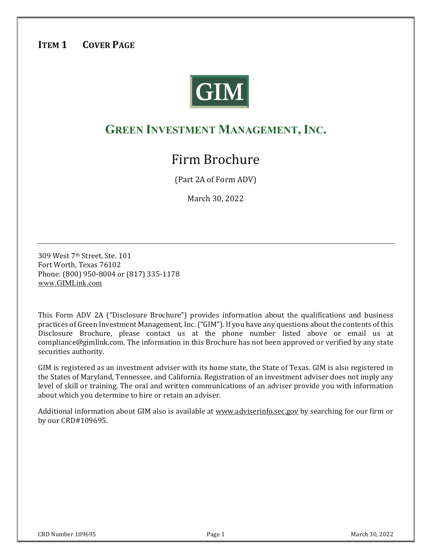# ITEM 1 COVER PAGE



# GREEN INVESTMENT MANAGEMENT, INC.

# Firm Brochure

(Part 2A of Form ADV)

March 30, 2022

309 West 7<sup>th</sup> Street. Ste. 101 Fort Worth, Texas 76102 Phone: (800) 950-8004 or (817) 335-1178 www.GIMLink.com

This Form ADV 2A ("Disclosure Brochure") provides information about the qualifications and business practices of Green Investment Management, Inc. ("GIM"). If you have any questions about the contents of this  $\,$ Disclosure Brochure, please contact us at the phone number listed above or email us at compliance@gimlink.com. The information in this Brochure has not been approved or verified by any state securities authority.

GIM is registered as an investment adviser with its home state, the State of Texas. GIM is also registered in the States of Maryland, Tennessee, and California. Registration of an investment adviser does not imply any level of skill or training. The oral and written communications of an adviser provide you with information about which you determine to hire or retain an adviser.

Additional information about GIM also is available at <u>www.adviserinfo.sec.gov</u> by searching for our firm or by our CRD#109695.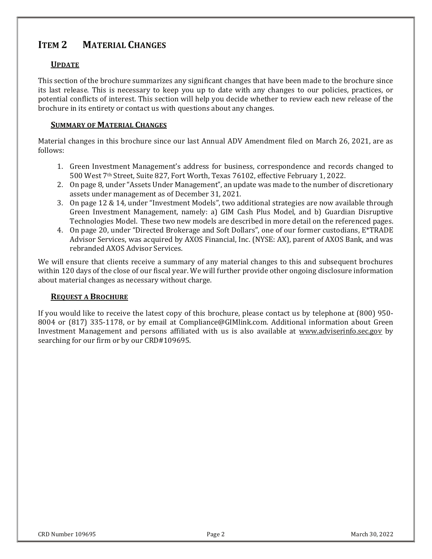# ITEM 2 MATERIAL CHANGES

# **UPDATE**

This section of the brochure summarizes any significant changes that have been made to the brochure since its last release. This is necessary to keep you up to date with any changes to our policies, practices, or potential conflicts of interest. This section will help you decide whether to review each new release of the brochure in its entirety or contact us with questions about any changes.

## SUMMARY OF MATERIAL CHANGES

Material changes in this brochure since our last Annual ADV Amendment filed on March 26, 2021, are as follows:

- 1. Green Investment Management's address for business, correspondence and records changed to 500 West 7<sup>th</sup> Street, Suite 827, Fort Worth, Texas 76102, effective February 1, 2022.
- 2. On page 8, under "Assets Under Management", an update was made to the number of discretionary assets under management as of December 31, 2021.
- 3. On page 12 & 14, under "Investment Models", two additional strategies are now available through Green Investment Management, namely: a) GIM Cash Plus Model, and b) Guardian Disruptive Technologies Model. These two new models are described in more detail on the referenced pages.
- 4. On page 20, under "Directed Brokerage and Soft Dollars", one of our former custodians, E\*TRADE Advisor Services, was acquired by AXOS Financial, Inc. (NYSE: AX), parent of AXOS Bank, and was rebranded AXOS Advisor Services.

We will ensure that clients receive a summary of any material changes to this and subsequent brochures within 120 days of the close of our fiscal year. We will further provide other ongoing disclosure information about material changes as necessary without charge.

#### REQUEST A BROCHURE

If you would like to receive the latest copy of this brochure, please contact us by telephone at (800) 950-8004 or (817) 335-1178, or by email at Compliance@GIMlink.com. Additional information about Green Investment Management and persons affiliated with us is also available at www.adviserinfo.sec.gov by searching for our firm or by our CRD#109695.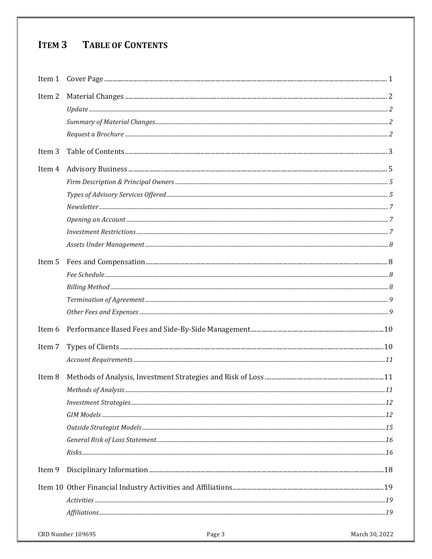# ITEM 3 TABLE OF CONTENTS

| Item 2            |                             |                |
|-------------------|-----------------------------|----------------|
|                   |                             |                |
|                   |                             |                |
|                   |                             |                |
| Item <sub>3</sub> |                             |                |
| Item 4            |                             |                |
|                   |                             |                |
|                   |                             |                |
|                   |                             |                |
|                   |                             |                |
|                   |                             |                |
|                   |                             |                |
| Item 5            |                             |                |
|                   |                             |                |
|                   |                             |                |
|                   |                             |                |
|                   |                             |                |
| Item 6            |                             |                |
| Item 7            |                             |                |
|                   |                             |                |
| Item 8            |                             |                |
|                   |                             |                |
|                   |                             |                |
|                   |                             |                |
|                   |                             |                |
|                   |                             |                |
|                   |                             |                |
| Item 9            |                             |                |
|                   |                             |                |
|                   |                             |                |
|                   |                             |                |
|                   | CRD Number 109695<br>Page 3 | March 30, 2022 |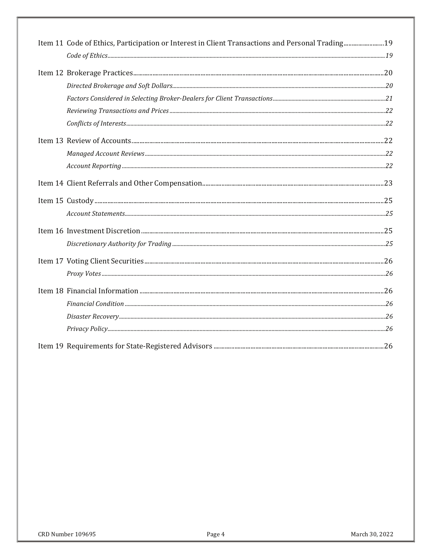| Item 11 Code of Ethics, Participation or Interest in Client Transactions and Personal Trading19 |  |
|-------------------------------------------------------------------------------------------------|--|
|                                                                                                 |  |
|                                                                                                 |  |
|                                                                                                 |  |
|                                                                                                 |  |
|                                                                                                 |  |
|                                                                                                 |  |
|                                                                                                 |  |
|                                                                                                 |  |
|                                                                                                 |  |
|                                                                                                 |  |
|                                                                                                 |  |
|                                                                                                 |  |
|                                                                                                 |  |
|                                                                                                 |  |
|                                                                                                 |  |
|                                                                                                 |  |
|                                                                                                 |  |
|                                                                                                 |  |
|                                                                                                 |  |
|                                                                                                 |  |
|                                                                                                 |  |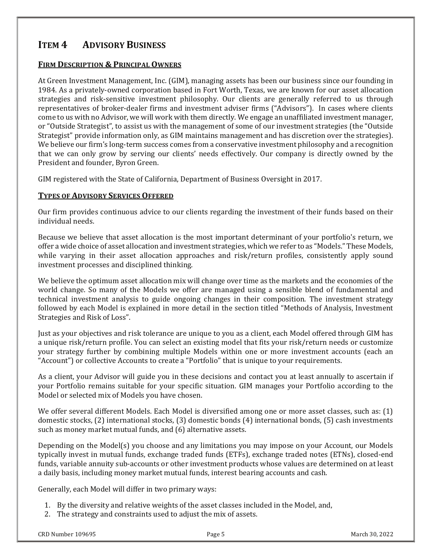# ITEM 4 ADVISORY BUSINESS

# FIRM DESCRIPTION & PRINCIPAL OWNERS

At Green Investment Management, Inc. (GIM), managing assets has been our business since our founding in 1984. As a privately-owned corporation based in Fort Worth, Texas, we are known for our asset allocation strategies and risk-sensitive investment philosophy. Our clients are generally referred to us through representatives of broker-dealer firms and investment adviser firms ("Advisors"). In cases where clients come to us with no Advisor, we will work with them directly. We engage an unaffiliated investment manager, or "Outside Strategist", to assist us with the management of some of our investment strategies (the "Outside" Strategist" provide information only, as GIM maintains management and has discretion over the strategies). We believe our firm's long-term success comes from a conservative investment philosophy and a recognition that we can only grow by serving our clients' needs effectively. Our company is directly owned by the President and founder, Byron Green.

GIM registered with the State of California, Department of Business Oversight in 2017.

### TYPES OF ADVISORY SERVICES OFFERED

Our firm provides continuous advice to our clients regarding the investment of their funds based on their individual needs.

Because we believe that asset allocation is the most important determinant of your portfolio's return, we offer a wide choice of asset allocation and investment strategies, which we refer to as "Models." These Models, while varying in their asset allocation approaches and risk/return profiles, consistently apply sound investment processes and disciplined thinking.

We believe the optimum asset allocation mix will change over time as the markets and the economies of the world change. So many of the Models we offer are managed using a sensible blend of fundamental and technical investment analysis to guide ongoing changes in their composition. The investment strategy followed by each Model is explained in more detail in the section titled "Methods of Analysis, Investment Strategies and Risk of Loss".

Just as your objectives and risk tolerance are unique to you as a client, each Model offered through GIM has J a unique risk/return profile. You can select an existing model that fits your risk/return needs or customize your strategy further by combining multiple Models within one or more investment accounts (each an "Account") or collective Accounts to create a "Portfolio" that is unique to your requirements.

As a client, your Advisor will guide you in these decisions and contact you at least annually to ascertain if your Portfolio remains suitable for your specific situation. GIM manages your Portfolio according to the Model or selected mix of Models you have chosen.

We offer several different Models. Each Model is diversified among one or more asset classes, such as: (1) domestic stocks, (2) international stocks, (3) domestic bonds (4) international bonds, (5) cash investments such as money market mutual funds, and (6) alternative assets.

Depending on the Model(s) you choose and any limitations you may impose on your Account, our Models typically invest in mutual funds, exchange traded funds (ETFs), exchange traded notes (ETNs), closed-end funds, variable annuity sub-accounts or other investment products whose values are determined on at least a daily basis, including money market mutual funds, interest bearing accounts and cash.

Generally, each Model will differ in two primary ways:

- 1. By the diversity and relative weights of the asset classes included in the Model, and,
- 2. The strategy and constraints used to adjust the mix of assets.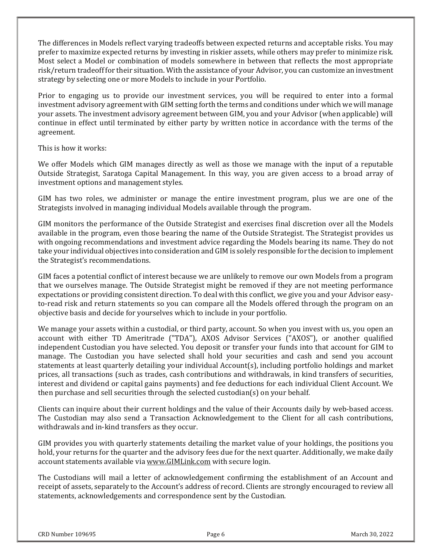The differences in Models reflect varying tradeoffs between expected returns and acceptable risks. You may prefer to maximize expected returns by investing in riskier assets, while others may prefer to minimize risk. Most select a Model or combination of models somewhere in between that reflects the most appropriate risk/return tradeoff for their situation. With the assistance of your Advisor, you can customize an investment strategy by selecting one or more Models to include in your Portfolio.

Prior to engaging us to provide our investment services, you will be required to enter into a formal investment advisory agreement with GIM setting forth the terms and conditions under which we will manage your assets. The investment advisory agreement between GIM, you and your Advisor (when applicable) will continue in effect until terminated by either party by written notice in accordance with the terms of the agreement.

This is how it works:

We offer Models which GIM manages directly as well as those we manage with the input of a reputable Outside Strategist, Saratoga Capital Management. In this way, you are given access to a broad array of investment options and management styles.

GIM has two roles, we administer or manage the entire investment program, plus we are one of the Strategists involved in managing individual Models available through the program.

GIM monitors the performance of the Outside Strategist and exercises final discretion over all the Models available in the program, even those bearing the name of the Outside Strategist. The Strategist provides us with ongoing recommendations and investment advice regarding the Models bearing its name. They do not take your individual objectives into consideration and GIM is solely responsible for the decision to implement the Strategist's recommendations.

GIM faces a potential conflict of interest because we are unlikely to remove our own Models from a program that we ourselves manage. The Outside Strategist might be removed if they are not meeting performance expectations or providing consistent direction. To deal with this conflict, we give you and your Advisor easyto-read risk and return statements so you can compare all the Models offered through the program on an objective basis and decide for yourselves which to include in your portfolio.

We manage your assets within a custodial, or third party, account. So when you invest with us, you open an account with either TD Ameritrade ("TDA"), AXOS Advisor Services ("AXOS"), or another qualified independent Custodian you have selected. You deposit or transfer your funds into that account for GIM to manage. The Custodian you have selected shall hold your securities and cash and send you account statements at least quarterly detailing your individual Account(s), including portfolio holdings and market prices, all transactions (such as trades, cash contributions and withdrawals, in kind transfers of securities, interest and dividend or capital gains payments) and fee deductions for each individual Client Account. We then purchase and sell securities through the selected custodian(s) on your behalf.

Clients can inquire about their current holdings and the value of their Accounts daily by web-based access. The Custodian may also send a Transaction Acknowledgement to the Client for all cash contributions, withdrawals and in-kind transfers as they occur.

GIM provides you with quarterly statements detailing the market value of your holdings, the positions you hold, your returns for the quarter and the advisory fees due for the next quarter. Additionally, we make daily account statements available via <u>www.GIMLink.com</u> with secure login.

The Custodians will mail a letter of acknowledgement confirming the establishment of an Account and receipt of assets, separately to the Account's address of record. Clients are strongly encouraged to review all statements, acknowledgements and correspondence sent by the Custodian.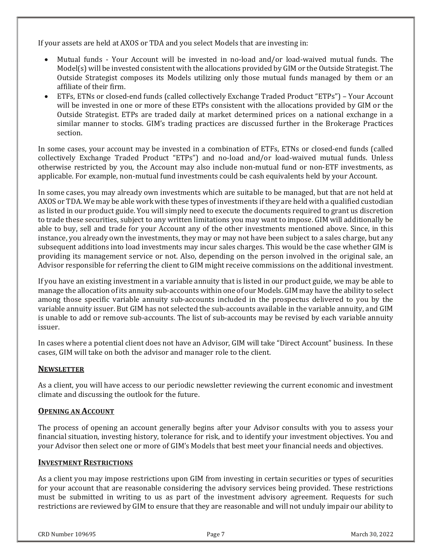If your assets are held at AXOS or TDA and you select Models that are investing in:

- $\bullet$ Mutual funds - Your Account will be invested in no-load and/or load-waived mutual funds. The Model(s) will be invested consistent with the allocations provided by GIM or the Outside Strategist. The  $\,$ Outside Strategist composes its Models utilizing only those mutual funds managed by them or an affiliate of their firm.
- $\bullet$ ETFs, ETNs or closed-end funds (called collectively Exchange Traded Product "ETPs") – Your Account will be invested in one or more of these ETPs consistent with the allocations provided by GIM or the Outside Strategist. ETPs are traded daily at market determined prices on a national exchange in a similar manner to stocks. GIM's trading practices are discussed further in the Brokerage Practices section.

In some cases, your account may be invested in a combination of ETFs, ETNs or closed-end funds (called collectively Exchange Traded Product "ETPs") and no-load and/or load-waived mutual funds. Unless otherwise restricted by you, the Account may also include non-mutual fund or non-ETF investments, as applicable. For example, non-mutual fund investments could be cash equivalents held by your Account.

In some cases, you may already own investments which are suitable to be managed, but that are not held at AXOS or TDA. We may be able work with these types of investments if they are held with a qualified custodian as listed in our product guide. You will simply need to execute the documents required to grant us discretion to trade these securities, subject to any written limitations you may want to impose. GIM will additionally be able to buy, sell and trade for your Account any of the other investments mentioned above. Since, in this instance, you already own the investments, they may or may not have been subject to a sales charge, but any subsequent additions into load investments may incur sales charges. This would be the case whether GIM is providing its management service or not. Also, depending on the person involved in the original sale, an Advisor responsible for referring the client to GIM might receive commissions on the additional investment.

If you have an existing investment in a variable annuity that is listed in our product guide, we may be able to manage the allocation of its annuity sub-accounts within one of our Models. GIM may have the ability to select among those specific variable annuity sub-accounts included in the prospectus delivered to you by the variable annuity issuer. But GIM has not selected the sub-accounts available in the variable annuity, and GIM  $\,$ is unable to add or remove sub-accounts. The list of sub-accounts may be revised by each variable annuity issuer.

In cases where a potential client does not have an Advisor, GIM will take "Direct Account" business. In these cases, GIM will take on both the advisor and manager role to the client.

# **NEWSLETTER**

As a client, you will have access to our periodic newsletter reviewing the current economic and investment climate and discussing the outlook for the future.

# OPENING AN ACCOUNT

The process of opening an account generally begins after your Advisor consults with you to assess your financial situation, investing history, tolerance for risk, and to identify your investment objectives. You and your Advisor then select one or more of GIM's Models that best meet your financial needs and objectives.

# INVESTMENT RESTRICTIONS

As a client you may impose restrictions upon GIM from investing in certain securities or types of securities ( for your account that are reasonable considering the advisory services being provided. These restrictions must be submitted in writing to us as part of the investment advisory agreement. Requests for such restrictions are reviewed by GIM to ensure that they are reasonable and will not unduly impair our ability to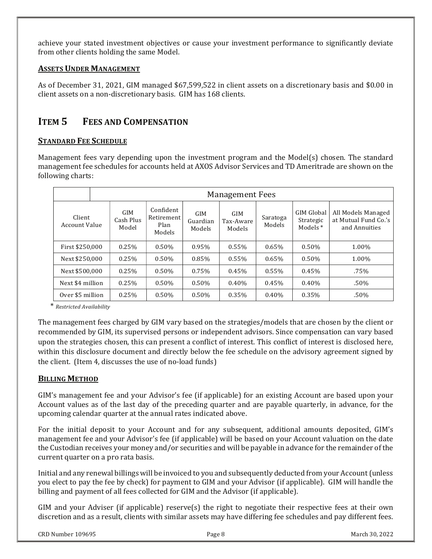achieve your stated investment objectives or cause your investment performance to significantly deviate from other clients holding the same Model.

### ASSETS UNDER MANAGEMENT

As of December 31, 2021, GIM managed \$67,599,522 in client assets on a discretionary basis and \$0.00 in client assets on a non-discretionary basis. GIM has 168 clients.

# ITEM 5 FEES AND COMPENSATION

## STANDARD FEE SCHEDULE

Management fees vary depending upon the investment program and the Model(s) chosen. The standard management fee schedules for accounts held at AXOS Advisor Services and TD Ameritrade are shown on the following charts:

|                         | <b>Management Fees</b> |                           |                                           |                           |                            |                    |                                              |                                                             |
|-------------------------|------------------------|---------------------------|-------------------------------------------|---------------------------|----------------------------|--------------------|----------------------------------------------|-------------------------------------------------------------|
| Client<br>Account Value |                        | GIM<br>Cash Plus<br>Model | Confident<br>Retirement<br>Plan<br>Models | GIM<br>Guardian<br>Models | GIM<br>Tax-Aware<br>Models | Saratoga<br>Models | <b>GIM Global</b><br>Strategic<br>Models $*$ | All Models Managed<br>at Mutual Fund Co.'s<br>and Annuities |
| First \$250,000         |                        | 0.25%                     | 0.50%                                     | 0.95%                     | 0.55%                      | $0.65\%$           | 0.50%                                        | 1.00%                                                       |
| Next \$250,000          |                        | 0.25%                     | 0.50%                                     | 0.85%                     | 0.55%                      | 0.65%              | 0.50%                                        | 1.00%                                                       |
| Next \$500,000          |                        | 0.25%                     | 0.50%                                     | 0.75%                     | 0.45%                      | 0.55%              | 0.45%                                        | .75%                                                        |
| Next \$4 million        |                        | 0.25%                     | 0.50%                                     | 0.50%                     | 0.40%                      | 0.45%              | 0.40%                                        | $.50\%$                                                     |
| Over \$5 million        |                        | 0.25%                     | 0.50%                                     | 0.50%                     | 0.35%                      | $0.40\%$           | 0.35%                                        | $.50\%$                                                     |

ȗRestricted Availability

The management fees charged by GIM vary based on the strategies/models that are chosen by the client or recommended by GIM, its supervised persons or independent advisors. Since compensation can vary based upon the strategies chosen, this can present a conflict of interest. This conflict of interest is disclosed here, within this disclosure document and directly below the fee schedule on the advisory agreement signed by the client. (Item 4, discusses the use of no-load funds)

# BILLING METHOD

GIM's management fee and your Advisor's fee (if applicable) for an existing Account are based upon your Account values as of the last day of the preceding quarter and are payable quarterly, in advance, for the upcoming calendar quarter at the annual rates indicated above.

For the initial deposit to your Account and for any subsequent, additional amounts deposited, GIM's management fee and your Advisor's fee (if applicable) will be based on your Account valuation on the date the Custodian receives your money and/or securities and will be payable in advance for the remainder of the current quarter on a pro rata basis.

Initial and any renewal billings will be invoiced to you and subsequently deducted from your Account (unless you elect to pay the fee by check) for payment to GIM and your Advisor (if applicable). GIM will handle the  $\,$ billing and payment of all fees collected for GIM and the Advisor (if applicable).

GIM and your Adviser (if applicable) reserve(s) the right to negotiate their respective fees at their own discretion and as a result, clients with similar assets may have differing fee schedules and pay different fees.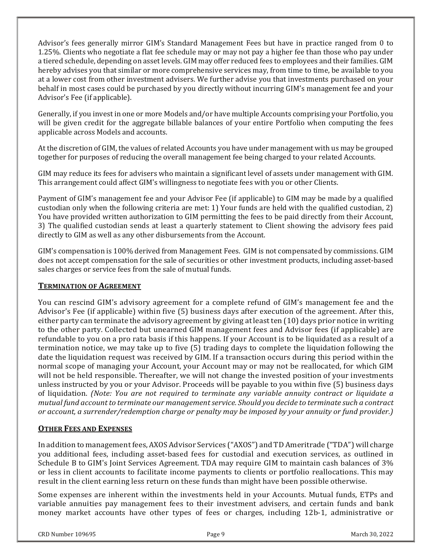Advisor's fees generally mirror GIM's Standard Management Fees but have in practice ranged from 0 to 1.25%. Clients who negotiate a flat fee schedule may or may not pay a higher fee than those who pay under a tiered schedule, depending on asset levels. GIM may offer reduced fees to employees and their families. GIM  $\,$ hereby advises you that similar or more comprehensive services may, from time to time, be available to you at a lower cost from other investment advisers. We further advise you that investments purchased on your behalf in most cases could be purchased by you directly without incurring GIM's management fee and your Advisor's Fee (if applicable).

Generally, if you invest in one or more Models and/or have multiple Accounts comprising your Portfolio, you **cha** will be given credit for the aggregate billable balances of your entire Portfolio when computing the fees applicable across Models and accounts.

At the discretion of GIM, the values of related Accounts you have under management with us may be grouped (At together for purposes of reducing the overall management fee being charged to your related Accounts.

GIM may reduce its fees for advisers who maintain a significant level of assets under management with GIM. This arrangement could affect GIM's willingness to negotiate fees with you or other Clients.

Payment of GIM's management fee and your Advisor Fee (if applicable) to GIM may be made by a qualified (Paymen custodian only when the following criteria are met: 1) Your funds are held with the qualified custodian, 2) You have provided written authorization to GIM permitting the fees to be paid directly from their Account, 3) The qualified custodian sends at least a quarterly statement to Client showing the advisory fees paid directly to GIM as well as any other disbursements from the Account.

GIM's compensation is  $100\%$  derived from Management Fees.  $\,$ GIM is not compensated by commissions.  $\,$ GIM  $\,$ does not accept compensation for the sale of securities or other investment products, including asset-based sales charges or service fees from the sale of mutual funds.

# TERMINATION OF AGREEMENT

You can rescind GIM's advisory agreement for a complete refund of GIM's management fee and the Advisor's Fee (if applicable) within five (5) business days after execution of the agreement. After this, either party can terminate the advisory agreement by giving at least ten (10) days prior notice in writing to the other party. Collected but unearned GIM management fees and Advisor fees (if applicable) are refundable to you on a pro rata basis if this happens. If your Account is to be liquidated as a result of a termination notice, we may take up to five (5) trading days to complete the liquidation following the date the liquidation request was received by GIM. If a transaction occurs during this period within the normal scope of managing your Account, your Account may or may not be reallocated, for which GIM will not be held responsible. Thereafter, we will not change the invested position of your investments unless instructed by you or your Advisor. Proceeds will be payable to you within five (5) business days of liquidation. (Note: You are not required to terminate any variable annuity contract or liquidate a mutual fund account to terminate our management service. Should you decide to terminate such a contract or account, a surrender/redemption charge or penalty may be imposed by your annuity or fund provider.)

#### OTHER FEES AND EXPENSES

In addition to management fees, AXOS Advisor Services ("AXOS") and TD Ameritrade ("TDA") will charge you additional fees, including asset-based fees for custodial and execution services, as outlined in Schedule B to GIM's Joint Services Agreement. TDA may require GIM to maintain cash balances of 3% or less in client accounts to facilitate income payments to clients or portfolio reallocations. This may result in the client earning less return on these funds than might have been possible otherwise.

Some expenses are inherent within the investments held in your Accounts. Mutual funds, ETPs and variable annuities pay management fees to their investment advisers, and certain funds and bank money market accounts have other types of fees or charges, including 12b-1, administrative or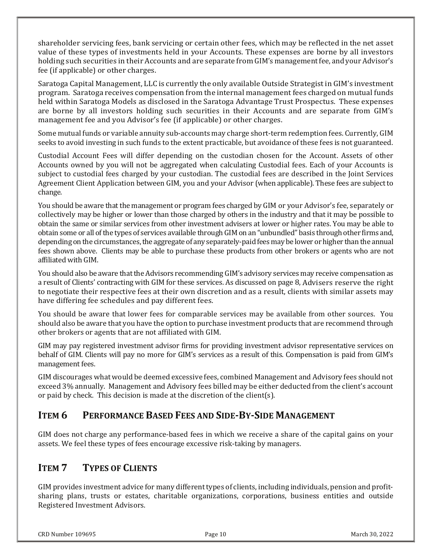shareholder servicing fees, bank servicing or certain other fees, which may be reflected in the net asset value of these types of investments held in your Accounts. These expenses are borne by all investors holding such securities in their Accounts and are separate from GIM's management fee, and your Advisor's  $\,$ fee (if applicable) or other charges.

Saratoga Capital Management, LLC is currently the only available Outside Strategist in GIM's investment (Sarat program. Saratoga receives compensation from the internal management fees charged on mutual funds held within Saratoga Models as disclosed in the Saratoga Advantage Trust Prospectus. These expenses are borne by all investors holding such securities in their Accounts and are separate from GIM's management fee and you Advisor's fee (if applicable) or other charges.

Some mutual funds or variable annuity sub-accounts may charge short-term redemption fees. Currently, GIM seeks to avoid investing in such funds to the extent practicable, but avoidance of these fees is not guaranteed.

Custodial Account Fees will differ depending on the custodian chosen for the Account. Assets of other Accounts owned by you will not be aggregated when calculating Custodial fees. Each of your Accounts is subject to custodial fees charged by your custodian. The custodial fees are described in the Joint Services Agreement Client Application between GIM, you and your Advisor (when applicable). These fees are subject to change.

You should be aware that the management or program fees charged by GIM or your Advisor's fee, separately or l collectively may be higher or lower than those charged by others in the industry and that it may be possible to obtain the same or similar services from other investment advisers at lower or higher rates. You may be able to obtain some or all of the types of services available through GIM on an "unbundled" basis through other firms and, depending on the circumstances, the aggregate of any separately-paid fees may be lower or higher than the annual fees shown above. Clients may be able to purchase these products from other brokers or agents who are not affiliated with GIM.

You should also be aware that the Advisors recommending GIM's advisory services may receive compensation as ' a result of Clients' contracting with GIM for these services. As discussed on page 8, Advisers reserve the right to negotiate their respective fees at their own discretion and as a result, clients with similar assets may have differing fee schedules and pay different fees.

You should be aware that lower fees for comparable services may be available from other sources. You should also be aware that you have the option to purchase investment products that are recommend through other brokers or agents that are not affiliated with GIM.

GIM may pay registered investment advisor firms for providing investment advisor representative services on behalf of GIM. Clients will pay no more for GIM's services as a result of this. Compensation is paid from GIM's management fees.

GIM discourages what would be deemed excessive fees, combined Management and Advisory fees should not exceed 3% annually. Management and Advisory fees billed may be either deducted from the client's account or paid by check. This decision is made at the discretion of the client(s).

# ITEM 6 PERFORMANCE BASED FEES AND SIDE-BY-SIDE MANAGEMENT

GIM does not charge any performance-based fees in which we receive a share of the capital gains on your assets. We feel these types of fees encourage excessive risk-taking by managers.

# ITEM 7 TYPES OF CLIENTS

GIM provides investment advice for many different types of clients, including individuals, pension and profitsharing plans, trusts or estates, charitable organizations, corporations, business entities and outside Registered Investment Advisors.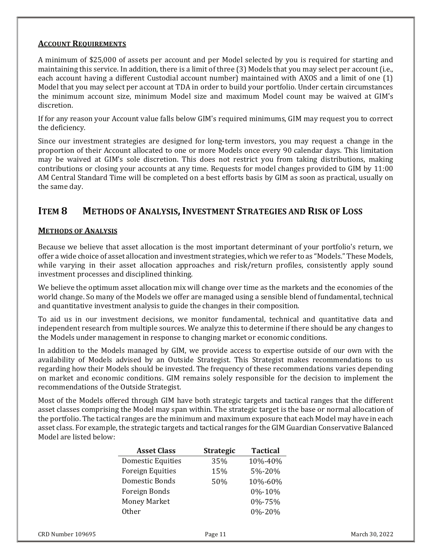## ACCOUNT REQUIREMENTS

A minimum of \$25,000 of assets per account and per Model selected by you is required for starting and maintaining this service. In addition, there is a limit of three (3) Models that you may select per account (i.e., each account having a different Custodial account number) maintained with AXOS and a limit of one (1) Model that you may select per account at TDA in order to build your portfolio. Under certain circumstances the minimum account size, minimum Model size and maximum Model count may be waived at GIM's discretion.

If for any reason your Account value falls below GIM's required minimums, GIM may request you to correct the deficiency.

Since our investment strategies are designed for long-term investors, you may request a change in the proportion of their Account allocated to one or more Models once every 90 calendar days. This limitation may be waived at GIM's sole discretion. This does not restrict you from taking distributions, making contributions or closing your accounts at any time. Requests for model changes provided to GIM by 11:00  $\,$ AM Central Standard Time will be completed on a best efforts basis by GIM as soon as practical, usually on the same day.

# ITEM 8 METHODS OF ANALYSIS, INVESTMENT STRATEGIES AND RISK OF LOSS

### **METHODS OF ANALYSIS**

Because we believe that asset allocation is the most important determinant of your portfolio's return, we offer a wide choice of asset allocation and investment strategies, which we refer to as "Models." These Models, while varying in their asset allocation approaches and risk/return profiles, consistently apply sound investment processes and disciplined thinking.

We believe the optimum asset allocation mix will change over time as the markets and the economies of the world change. So many of the Models we offer are managed using a sensible blend of fundamental, technical and quantitative investment analysis to guide the changes in their composition.

To aid us in our investment decisions, we monitor fundamental, technical and quantitative data and independent research from multiple sources. We analyze this to determine if there should be any changes to the Models under management in response to changing market or economic conditions.

In addition to the Models managed by GIM, we provide access to expertise outside of our own with the availability of Models advised by an Outside Strategist. This Strategist makes recommendations to us regarding how their Models should be invested. The frequency of these recommendations varies depending on market and economic conditions. GIM remains solely responsible for the decision to implement the recommendations of the Outside Strategist.

Most of the Models offered through GIM have both strategic targets and tactical ranges that the different asset classes comprising the Model may span within. The strategic target is the base or normal allocation of the portfolio. The tactical ranges are the minimum and maximum exposure that each Model may have in each asset class. For example, the strategic targets and tactical ranges for the GIM Guardian Conservative Balanced Model are listed below:

| <b>Asset Class</b>       | <b>Strategic</b> | <b>Tactical</b> |
|--------------------------|------------------|-----------------|
| <b>Domestic Equities</b> | 35%              | 10%-40%         |
| <b>Foreign Equities</b>  | 15%              | 5%-20%          |
| Domestic Bonds           | 50%              | 10%-60%         |
| Foreign Bonds            |                  | 0\%-10\%        |
| <b>Money Market</b>      |                  | 0%-75%          |
| Other                    |                  | 0%-20%          |
|                          |                  |                 |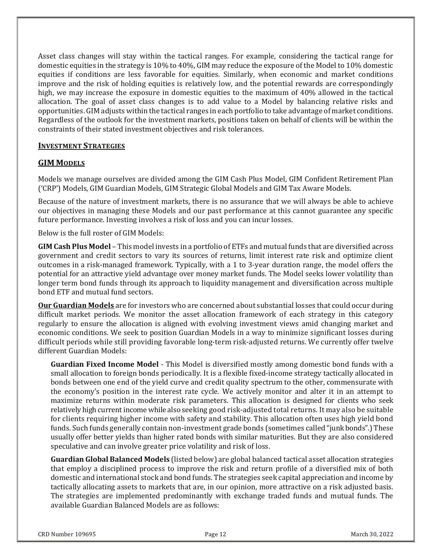Asset class changes will stay within the tactical ranges. For example, considering the tactical range for domestic equities in the strategy is 10% to 40%, GIM may reduce the exposure of the Model to 10% domestic equities if conditions are less favorable for equities. Similarly, when economic and market conditions improve and the risk of holding equities is relatively low, and the potential rewards are correspondingly high, we may increase the exposure in domestic equities to the maximum of 40% allowed in the tactical allocation. The goal of asset class changes is to add value to a Model by balancing relative risks and opportunities. GIM adjusts within the tactical ranges in each portfolio to take advantage of market conditions. Regardless of the outlook for the investment markets, positions taken on behalf of clients will be within the constraints of their stated investment objectives and risk tolerances.

#### **INVESTMENT STRATEGIES**

### GIM MODELS

Models we manage ourselves are divided among the GIM Cash Plus Model, GIM Confident Retirement Plan ('CRP') Models, GIM Guardian Models, GIM Strategic Global Models and GIM Tax Aware Models.

Because of the nature of investment markets, there is no assurance that we will always be able to achieve our objectives in managing these Models and our past performance at this cannot guarantee any specific future performance. Investing involves a risk of loss and you can incur losses.

Below is the full roster of GIM Models:

**GIM Cash Plus Model** – This model invests in a portfolio of ETFs and mutual funds that are diversified across government and credit sectors to vary its sources of returns, limit interest rate risk and optimize client outcomes in a risk-managed framework. Typically, with a 1 to 3-year duration range, the model offers the potential for an attractive yield advantage over money market funds. The Model seeks lower volatility than longer term bond funds through its approach to liquidity management and diversification across multiple bond ETF and mutual fund sectors.

Our Guardian Models are for investors who are concerned about substantial losses that could occur during difficult market periods. We monitor the asset allocation framework of each strategy in this category regularly to ensure the allocation is aligned with evolving investment views amid changing market and economic conditions. We seek to position Guardian Models in a way to minimize significant losses during difficult periods while still providing favorable long-term risk-adjusted returns. We currently offer twelve different Guardian Models:

Guardian Fixed Income Model - This Model is diversified mostly among domestic bond funds with a small allocation to foreign bonds periodically. It is a flexible fixed-income strategy tactically allocated in bonds between one end of the yield curve and credit quality spectrum to the other, commensurate with the economy's position in the interest rate cycle. We actively monitor and alter it in an attempt to maximize returns within moderate risk parameters. This allocation is designed for clients who seek relatively high current income while also seeking good risk-adjusted total returns. It may also be suitable for clients requiring higher income with safety and stability. This allocation often uses high yield bond funds. Such funds generally contain non-investment grade bonds (sometimes called "junk bonds".) These usually offer better yields than higher rated bonds with similar maturities. But they are also considered speculative and can involve greater price volatility and risk of loss.

Guardian Global Balanced Models (listed below) are global balanced tactical asset allocation strategies that employ a disciplined process to improve the risk and return profile of a diversified mix of both domestic and international stock and bond funds. The strategies seek capital appreciation and income by tactically allocating assets to markets that are, in our opinion, more attractive on a risk adjusted basis. The strategies are implemented predominantly with exchange traded funds and mutual funds. The available Guardian Balanced Models are as follows: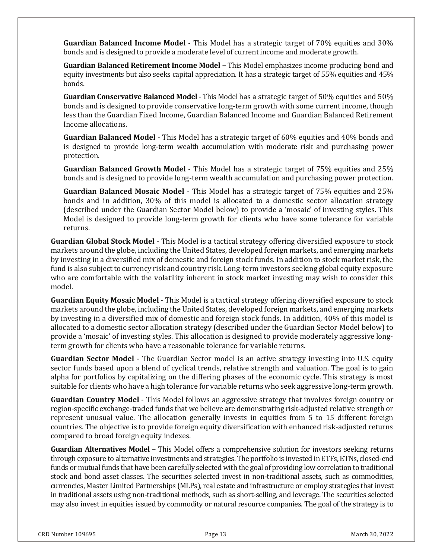Guardian Balanced Income Model - This Model has a strategic target of 70% equities and 30% bonds and is designed to provide a moderate level of current income and moderate growth.

**Guardian Balanced Retirement Income Model -** This Model emphasizes income producing bond and equity investments but also seeks capital appreciation. It has a strategic target of 55% equities and 45% bonds.

Guardian Conservative Balanced Model - This Model has a strategic target of 50% equities and 50% bonds and is designed to provide conservative long-term growth with some current income, though less than the Guardian Fixed Income, Guardian Balanced Income and Guardian Balanced Retirement Income allocations.

**Guardian Balanced Model** - This Model has a strategic target of 60% equities and 40% bonds and is designed to provide long-term wealth accumulation with moderate risk and purchasing power protection.

Guardian Balanced Growth Model - This Model has a strategic target of 75% equities and 25% bonds and is designed to provide long-term wealth accumulation and purchasing power protection.

**Guardian Balanced Mosaic Model** - This Model has a strategic target of 75% equities and 25% bonds and in addition, 30% of this model is allocated to a domestic sector allocation strategy (described under the Guardian Sector Model below) to provide a 'mosaic' of investing styles. This Model is designed to provide long-term growth for clients who have some tolerance for variable returns.

**Guardian Global Stock Model** - This Model is a tactical strategy offering diversified exposure to stock markets around the globe, including the United States, developed foreign markets, and emerging markets by investing in a diversified mix of domestic and foreign stock funds. In addition to stock market risk, the fund is also subject to currency risk and country risk. Long-term investors seeking global equity exposure who are comfortable with the volatility inherent in stock market investing may wish to consider this model.

Guardian Equity Mosaic Model - This Model is a tactical strategy offering diversified exposure to stock markets around the globe, including the United States, developed foreign markets, and emerging markets by investing in a diversified mix of domestic and foreign stock funds. In addition, 40% of this model is allocated to a domestic sector allocation strategy (described under the Guardian Sector Model below) to provide a 'mosaic' of investing styles. This allocation is designed to provide moderately aggressive longterm growth for clients who have a reasonable tolerance for variable returns.

Guardian Sector Model - The Guardian Sector model is an active strategy investing into U.S. equity sector funds based upon a blend of cyclical trends, relative strength and valuation. The goal is to gain alpha for portfolios by capitalizing on the differing phases of the economic cycle. This strategy is most suitable for clients who have a high tolerance for variable returns who seek aggressive long-term growth.

Guardian Country Model - This Model follows an aggressive strategy that involves foreign country or region-specific exchange-traded funds that we believe are demonstrating risk-adjusted relative strength or represent unusual value. The allocation generally invests in equities from 5 to 15 different foreign countries. The objective is to provide foreign equity diversification with enhanced risk-adjusted returns compared to broad foreign equity indexes.

Guardian Alternatives Model - This Model offers a comprehensive solution for investors seeking returns through exposure to alternative investments and strategies. The portfolio is invested in ETFs, ETNs, closed-end funds or mutual funds that have been carefully selected with the goal of providing low correlation to traditional stock and bond asset classes. The securities selected invest in non-traditional assets, such as commodities, currencies, Master Limited Partnerships (MLPs), real estate and infrastructure or employ strategies that invest in traditional assets using non-traditional methods, such as short-selling, and leverage. The securities selected may also invest in equities issued by commodity or natural resource companies. The goal of the strategy is to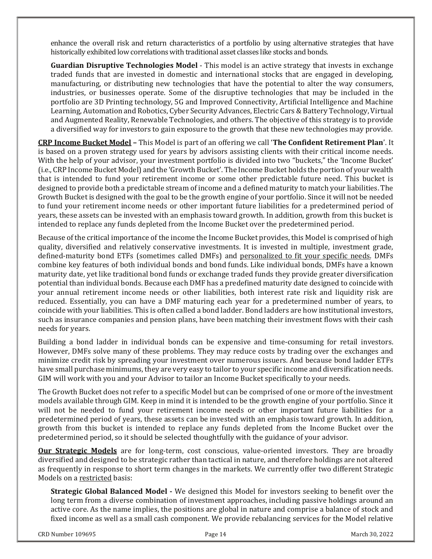enhance the overall risk and return characteristics of a portfolio by using alternative strategies that have historically exhibited low correlations with traditional asset classes like stocks and bonds.

Guardian Disruptive Technologies Model - This model is an active strategy that invests in exchange traded funds that are invested in domestic and international stocks that are engaged in developing. manufacturing, or distributing new technologies that have the potential to alter the way consumers, industries, or businesses operate. Some of the disruptive technologies that may be included in the portfolio are 3D Printing technology, 5G and Improved Connectivity, Artificial Intelligence and Machine ( Learning, Automation and Robotics, Cyber Security Advances, Electric Cars & Battery Technology, Virtual and Augmented Reality, Renewable Technologies, and others. The objective of this strategy is to provide a diversified way for investors to gain exposure to the growth that these new technologies may provide.

**CRP Income Bucket Model -** This Model is part of an offering we call 'The Confident Retirement Plan'. It is based on a proven strategy used for years by advisors assisting clients with their critical income needs. With the help of your advisor, your investment portfolio is divided into two "buckets," the 'Income Bucket' (i.e., CRP Income Bucket Model) and the 'Growth Bucket'. The Income Bucket holds the portion of your wealth ( that is intended to fund your retirement income or some other predictable future need. This bucket is designed to provide both a predictable stream of income and a defined maturity to match your liabilities. The Growth Bucket is designed with the goal to be the growth engine of your portfolio. Since it will not be needed to fund your retirement income needs or other important future liabilities for a predetermined period of years, these assets can be invested with an emphasis toward growth. In addition, growth from this bucket is intended to replace any funds depleted from the Income Bucket over the predetermined period.

Because of the critical importance of the income the Income Bucket provides, this Model is comprised of high quality, diversified and relatively conservative investments. It is invested in multiple, investment grade, defined-maturity bond ETFs (sometimes called DMFs) and personalized to fit your specific needs. DMFs combine key features of both individual bonds and bond funds. Like individual bonds, DMFs have a known maturity date, yet like traditional bond funds or exchange traded funds they provide greater diversification potential than individual bonds. Because each DMF has a predefined maturity date designed to coincide with your annual retirement income needs or other liabilities, both interest rate risk and liquidity risk are reduced. Essentially, you can have a DMF maturing each year for a predetermined number of years, to coincide with your liabilities. This is often called a bond ladder. Bond ladders are how institutional investors, such as insurance companies and pension plans, have been matching their investment flows with their cash needs for years.

Building a bond ladder in individual bonds can be expensive and time-consuming for retail investors. However, DMFs solve many of these problems. They may reduce costs by trading over the exchanges and minimize credit risk by spreading your investment over numerous issuers. And because bond ladder ETFs have small purchase minimums, they are very easy to tailor to your specific income and diversification needs. GIM will work with you and your Advisor to tailor an Income Bucket specifically to your needs.

The Growth Bucket does not refer to a specific Model but can be comprised of one or more of the investment ( $\,$ models available through GIM. Keep in mind it is intended to be the growth engine of your portfolio. Since it will not be needed to fund your retirement income needs or other important future liabilities for a predetermined period of years, these assets can be invested with an emphasis toward growth. In addition, growth from this bucket is intended to replace any funds depleted from the Income Bucket over the predetermined period, so it should be selected thoughtfully with the guidance of your advisor.

**Our Strategic Models** are for long-term, cost conscious, value-oriented investors. They are broadly diversified and designed to be strategic rather than tactical in nature, and therefore holdings are not altered as frequently in response to short term changes in the markets. We currently offer two different Strategic Models on a restricted basis:

**Strategic Global Balanced Model -** We designed this Model for investors seeking to benefit over the long term from a diverse combination of investment approaches, including passive holdings around an active core. As the name implies, the positions are global in nature and comprise a balance of stock and fixed income as well as a small cash component. We provide rebalancing services for the Model relative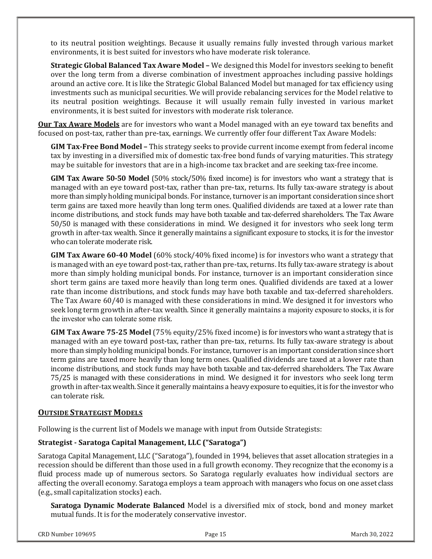to its neutral position weightings. Because it usually remains fully invested through various market environments, it is best suited for investors who have moderate risk tolerance.

Strategic Global Balanced Tax Aware Model - We designed this Model for investors seeking to benefit over the long term from a diverse combination of investment approaches including passive holdings around an active core. It is like the Strategic Global Balanced Model but managed for tax efficiency using investments such as municipal securities. We will provide rebalancing services for the Model relative to its neutral position weightings. Because it will usually remain fully invested in various market environments, it is best suited for investors with moderate risk tolerance.

**Our Tax Aware Models** are for investors who want a Model managed with an eye toward tax benefits and focused on post-tax, rather than pre-tax, earnings. We currently offer four different Tax Aware Models:

**GIM Tax-Free Bond Model –** This strategy seeks to provide current income exempt from federal income tax by investing in a diversified mix of domestic tax-free bond funds of varying maturities. This strategy may be suitable for investors that are in a high-income tax bracket and are seeking tax-free income.

GIM Tax Aware 50-50 Model  $(50\% \text{ stock}/50\% \text{ fixed income})$  is for investors who want a strategy that is managed with an eye toward post-tax, rather than pre-tax, returns. Its fully tax-aware strategy is about more than simply holding municipal bonds. For instance, turnover is an important consideration since short term gains are taxed more heavily than long term ones. Qualified dividends are taxed at a lower rate than income distributions, and stock funds may have both taxable and tax-deferred shareholders. The Tax Aware 50/50 is managed with these considerations in mind. We designed it for investors who seek long term growth in after-tax wealth. Since it generally maintains a significant exposure to stocks, it is for the investor who can tolerate moderate risk.

GIM Tax Aware 60-40 Model  $(60\% \text{ stock}/40\% \text{ fixed income})$  is for investors who want a strategy that is managed with an eye toward post-tax, rather than pre-tax, returns. Its fully tax-aware strategy is about more than simply holding municipal bonds. For instance, turnover is an important consideration since short term gains are taxed more heavily than long term ones. Qualified dividends are taxed at a lower rate than income distributions, and stock funds may have both taxable and tax-deferred shareholders. The Tax Aware 60/40 is managed with these considerations in mind. We designed it for investors who seek long term growth in after-tax wealth. Since it generally maintains a majority exposure to stocks, it is for the investor who can tolerate some risk.

GIM Tax Aware 75-25 Model  $(75\%$  equity/25% fixed income) is for investors who want a strategy that is managed with an eye toward post-tax, rather than pre-tax, returns. Its fully tax-aware strategy is about more than simply holding municipal bonds. For instance, turnover is an important consideration since short term gains are taxed more heavily than long term ones. Qualified dividends are taxed at a lower rate than income distributions, and stock funds may have both taxable and tax-deferred shareholders. The Tax Aware 75/25 is managed with these considerations in mind. We designed it for investors who seek long term growth in after-tax wealth. Since it generally maintains a heavy exposure to equities, it is for the investor who can tolerate risk.

#### OUTSIDE STRATEGIST MODELS

Following is the current list of Models we manage with input from Outside Strategists:

# Strategist - Saratoga Capital Management, LLC ("Saratoga")

Saratoga Capital Management, LLC ("Saratoga"), founded in 1994, believes that asset allocation strategies in a recession should be different than those used in a full growth economy. They recognize that the economy is a fluid process made up of numerous sectors. So Saratoga regularly evaluates how individual sectors are affecting the overall economy. Saratoga employs a team approach with managers who focus on one asset class (e.g., small capitalization stocks) each.

Saratoga Dynamic Moderate Balanced Model is a diversified mix of stock, bond and money market mutual funds. It is for the moderately conservative investor.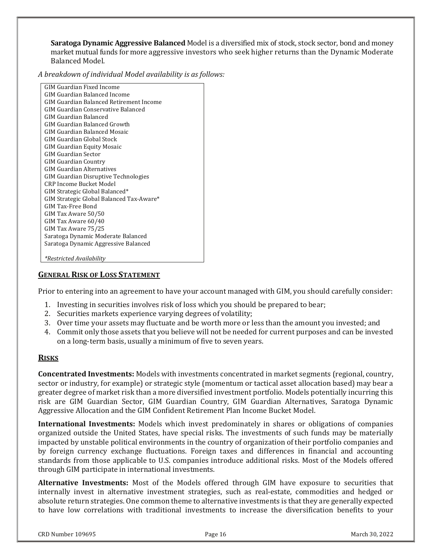Saratoga Dynamic Aggressive Balanced Model is a diversified mix of stock, stock sector, bond and money market mutual funds for more aggressive investors who seek higher returns than the Dynamic Moderate Balanced Model.

A breakdown of individual Model availability is as follows:

| <b>GIM Guardian Fixed Income</b>         |
|------------------------------------------|
| GIM Guardian Balanced Income             |
| GIM Guardian Balanced Retirement Income  |
| GIM Guardian Conservative Balanced       |
| GIM Guardian Balanced                    |
| GIM Guardian Balanced Growth             |
| GIM Guardian Balanced Mosaic             |
| GIM Guardian Global Stock                |
| <b>GIM Guardian Equity Mosaic</b>        |
| GIM Guardian Sector                      |
| <b>GIM Guardian Country</b>              |
| <b>GIM Guardian Alternatives</b>         |
| GIM Guardian Disruptive Technologies     |
| <b>CRP Income Bucket Model</b>           |
| GIM Strategic Global Balanced*           |
| GIM Strategic Global Balanced Tax-Aware* |
| GIM Tax-Free Bond                        |
| GIM Tax Aware 50/50                      |
| GIM Tax Aware 60/40                      |
| GIM Tax Aware 75/25                      |
| Saratoga Dynamic Moderate Balanced       |
| Saratoga Dynamic Aggressive Balanced     |
|                                          |
| *Restricted Availability                 |

#### GENERAL RISK OF LOSS STATEMENT

Prior to entering into an agreement to have your account managed with GIM, you should carefully consider: "

- 1. Investing in securities involves risk of loss which you should be prepared to bear;
- 2. Securities markets experience varying degrees of volatility;
- 3. Over time your assets may fluctuate and be worth more or less than the amount you invested; and
- 4. Commit only those assets that you believe will not be needed for current purposes and can be invested on a long-term basis, usually a minimum of five to seven years.

# RISKS

**Concentrated Investments:** Models with investments concentrated in market segments (regional, country, sector or industry, for example) or strategic style (momentum or tactical asset allocation based) may bear a greater degree of market risk than a more diversified investment portfolio. Models potentially incurring this risk are GIM Guardian Sector, GIM Guardian Country, GIM Guardian Alternatives, Saratoga Dynamic Aggressive Allocation and the GIM Confident Retirement Plan Income Bucket Model.

**International Investments:** Models which invest predominately in shares or obligations of companies organized outside the United States, have special risks. The investments of such funds may be materially impacted by unstable political environments in the country of organization of their portfolio companies and by foreign currency exchange fluctuations. Foreign taxes and differences in financial and accounting standards from those applicable to U.S. companies introduce additional risks. Most of the Models offered through GIM participate in international investments.

Alternative Investments: Most of the Models offered through GIM have exposure to securities that internally invest in alternative investment strategies, such as real-estate, commodities and hedged or absolute return strategies. One common theme to alternative investments is that they are generally expected to have low correlations with traditional investments to increase the diversification benefits to your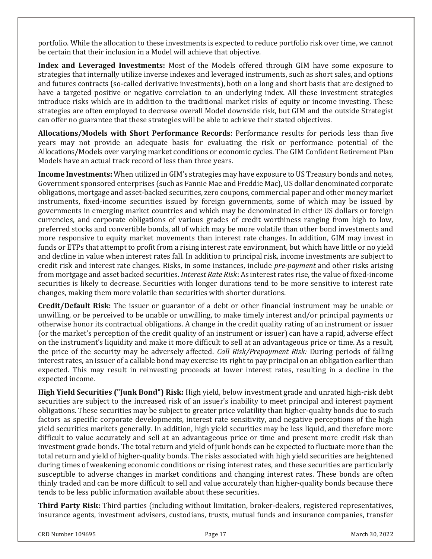portfolio. While the allocation to these investments is expected to reduce portfolio risk over time, we cannot be certain that their inclusion in a Model will achieve that objective.

Index and Leveraged Investments: Most of the Models offered through GIM have some exposure to strategies that internally utilize inverse indexes and leveraged instruments, such as short sales, and options and futures contracts (so-called derivative investments), both on a long and short basis that are designed to have a targeted positive or negative correlation to an underlying index. All these investment strategies introduce risks which are in addition to the traditional market risks of equity or income investing. These strategies are often employed to decrease overall Model downside risk, but GIM and the outside Strategist can offer no guarantee that these strategies will be able to achieve their stated objectives.

Allocations/Models with Short Performance Records: Performance results for periods less than five years may not provide an adequate basis for evaluating the risk or performance potential of the Allocations/Models over varying market conditions or economic cycles. The GIM Confident Retirement Plan Models have an actual track record of less than three years.

**Income Investments:** When utilized in GIM's strategies may have exposure to US Treasury bonds and notes, Government sponsored enterprises (such as Fannie Mae and Freddie Mac), US dollar denominated corporate obligations, mortgage and asset-backed securities, zero coupons, commercial paper and other money market instruments, fixed-income securities issued by foreign governments, some of which may be issued by governments in emerging market countries and which may be denominated in either US dollars or foreign currencies, and corporate obligations of various grades of credit worthiness ranging from high to low, preferred stocks and convertible bonds, all of which may be more volatile than other bond investments and more responsive to equity market movements than interest rate changes. In addition, GIM may invest in funds or ETPs that attempt to profit from a rising interest rate environment, but which have little or no yield and decline in value when interest rates fall. In addition to principal risk, income investments are subject to credit risk and interest rate changes. Risks, in some instances, include *pre-payment* and other risks arising from mortgage and asset backed securities. Interest Rate Risk: As interest rates rise, the value of fixed-income securities is likely to decrease. Securities with longer durations tend to be more sensitive to interest rate changes, making them more volatile than securities with shorter durations.

Credit/Default Risk: The issuer or guarantor of a debt or other financial instrument may be unable or unwilling, or be perceived to be unable or unwilling, to make timely interest and/or principal payments or otherwise honor its contractual obligations. A change in the credit quality rating of an instrument or issuer (or the market's perception of the credit quality of an instrument or issuer) can have a rapid, adverse effect on the instrument's liquidity and make it more difficult to sell at an advantageous price or time. As a result, the price of the security may be adversely affected. Call Risk/Prepayment Risk: During periods of falling interest rates, an issuer of a callable bond may exercise its right to pay principal on an obligation earlier than expected. This may result in reinvesting proceeds at lower interest rates, resulting in a decline in the expected income.

High Yield Securities ("Junk Bond") Risk: High yield, below investment grade and unrated high-risk debt securities are subject to the increased risk of an issuer's inability to meet principal and interest payment obligations. These securities may be subject to greater price volatility than higher-quality bonds due to such factors as specific corporate developments, interest rate sensitivity, and negative perceptions of the high yield securities markets generally. In addition, high yield securities may be less liquid, and therefore more difficult to value accurately and sell at an advantageous price or time and present more credit risk than investment grade bonds. The total return and yield of junk bonds can be expected to fluctuate more than the total return and yield of higher-quality bonds. The risks associated with high yield securities are heightened during times of weakening economic conditions or rising interest rates, and these securities are particularly susceptible to adverse changes in market conditions and changing interest rates. These bonds are often thinly traded and can be more difficult to sell and value accurately than higher-quality bonds because there tends to be less public information available about these securities.

Third Party Risk: Third parties (including without limitation, broker-dealers, registered representatives, insurance agents, investment advisers, custodians, trusts, mutual funds and insurance companies, transfer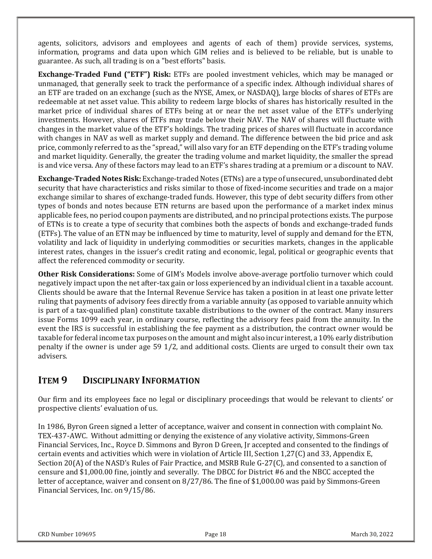agents, solicitors, advisors and employees and agents of each of them) provide services, systems, information, programs and data upon which GIM relies and is believed to be reliable, but is unable to guarantee. As such, all trading is on a "best efforts" basis.

**Exchange-Traded Fund ("ETF") Risk:** ETFs are pooled investment vehicles, which may be managed or unmanaged, that generally seek to track the performance of a specific index. Although individual shares of an ETF are traded on an exchange (such as the NYSE, Amex, or NASDAQ), large blocks of shares of ETFs are redeemable at net asset value. This ability to redeem large blocks of shares has historically resulted in the market price of individual shares of ETFs being at or near the net asset value of the ETF's underlying investments. However, shares of ETFs may trade below their NAV. The NAV of shares will fluctuate with changes in the market value of the ETF's holdings. The trading prices of shares will fluctuate in accordance with changes in NAV as well as market supply and demand. The difference between the bid price and ask price, commonly referred to as the "spread," will also vary for an ETF depending on the ETF's trading volume and market liquidity. Generally, the greater the trading volume and market liquidity, the smaller the spread ( is and vice versa. Any of these factors may lead to an ETF's shares trading at a premium or a discount to NAV.

Exchange-Traded Notes Risk: Exchange-traded Notes (ETNs) are a type of unsecured, unsubordinated debt security that have characteristics and risks similar to those of fixed-income securities and trade on a major exchange similar to shares of exchange-traded funds. However, this type of debt security differs from other types of bonds and notes because ETN returns are based upon the performance of a market index minus applicable fees, no period coupon payments are distributed, and no principal protections exists. The purpose of ETNs is to create a type of security that combines both the aspects of bonds and exchange-traded funds (ETFs). The value of an ETN may be influenced by time to maturity, level of supply and demand for the ETN, volatility and lack of liquidity in underlying commodities or securities markets, changes in the applicable interest rates, changes in the issuer's credit rating and economic, legal, political or geographic events that affect the referenced commodity or security.

Other Risk Considerations: Some of GIM's Models involve above-average portfolio turnover which could negatively impact upon the net after-tax gain or loss experienced by an individual client in a taxable account. Clients should be aware that the Internal Revenue Service has taken a position in at least one private letter ruling that payments of advisory fees directly from a variable annuity (as opposed to variable annuity which is part of a tax-qualified plan) constitute taxable distributions to the owner of the contract. Many insurers issue Forms 1099 each year, in ordinary course, reflecting the advisory fees paid from the annuity. In the event the IRS is successful in establishing the fee payment as a distribution, the contract owner would be taxable for federal income tax purposes on the amount and might also incur interest, a 10% early distribution penalty if the owner is under age 59 1/2, and additional costs. Clients are urged to consult their own tax advisers.

# **ITEM 9 DISCIPLINARY INFORMATION**

Our firm and its employees face no legal or disciplinary proceedings that would be relevant to clients' or prospective clients' evaluation of us.

In 1986, Byron Green signed a letter of acceptance, waiver and consent in connection with complaint No. I TEX-437-AWC. Without admitting or denying the existence of any violative activity, Simmons-Green Financial Services, Inc., Royce D. Simmons and Byron D Green, Jr accepted and consented to the findings of certain events and activities which were in violation of Article III, Section 1,27(C) and 33, Appendix E, Section 20(A) of the NASD's Rules of Fair Practice, and MSRB Rule G-27(C), and consented to a sanction of censure and \$1,000.00 fine, jointly and severally. The DBCC for District #6 and the NBCC accepted the letter of acceptance, waiver and consent on 8/27/86. The fine of \$1,000.00 was paid by Simmons-Green Financial Services, Inc. on 9/15/86.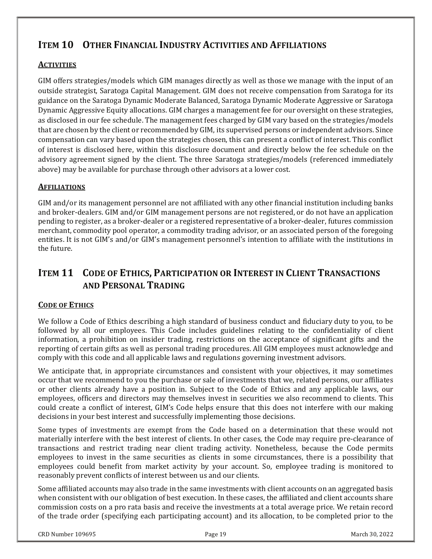# ITEM 10 OTHER FINANCIAL INDUSTRY ACTIVITIES AND AFFILIATIONS

# **ACTIVITIES**

GIM offers strategies/models which GIM manages directly as well as those we manage with the input of an outside strategist, Saratoga Capital Management. GIM does not receive compensation from Saratoga for its guidance on the Saratoga Dynamic Moderate Balanced, Saratoga Dynamic Moderate Aggressive or Saratoga Dynamic Aggressive Equity allocations. GIM charges a management fee for our oversight on these strategies, lati as disclosed in our fee schedule. The management fees charged by GIM vary based on the strategies/models (as  $\,$ that are chosen by the client or recommended by GIM, its supervised persons or independent advisors. Since compensation can vary based upon the strategies chosen, this can present a conflict of interest. This conflict of interest is disclosed here, within this disclosure document and directly below the fee schedule on the advisory agreement signed by the client. The three Saratoga strategies/models (referenced immediately above) may be available for purchase through other advisors at a lower cost.

# **AFFILIATIONS**

GIM and/or its management personnel are not affiliated with any other financial institution including banks (G and broker-dealers. GIM and/or GIM management persons are not registered, or do not have an application in and pending to register, as a broker-dealer or a registered representative of a broker-dealer, futures commission merchant, commodity pool operator, a commodity trading advisor, or an associated person of the foregoing entities. It is not GIM's and/or GIM's management personnel's intention to affiliate with the institutions in the future.

# ITEM 11 CODE OF ETHICS, PARTICIPATION OR INTEREST IN CLIENT TRANSACTIONS AND PERSONAL TRADING

# CODE OF ETHICS

We follow a Code of Ethics describing a high standard of business conduct and fiduciary duty to you, to be followed by all our employees. This Code includes guidelines relating to the confidentiality of client information, a prohibition on insider trading, restrictions on the acceptance of significant gifts and the reporting of certain gifts as well as personal trading procedures. All GIM employees must acknowledge and comply with this code and all applicable laws and regulations governing investment advisors.

We anticipate that, in appropriate circumstances and consistent with your objectives, it may sometimes occur that we recommend to you the purchase or sale of investments that we, related persons, our affiliates or other clients already have a position in. Subject to the Code of Ethics and any applicable laws, our employees, officers and directors may themselves invest in securities we also recommend to clients. This could create a conflict of interest, GIM's Code helps ensure that this does not interfere with our making decisions in your best interest and successfully implementing those decisions.

Some types of investments are exempt from the Code based on a determination that these would not materially interfere with the best interest of clients. In other cases, the Code may require pre-clearance of transactions and restrict trading near client trading activity. Nonetheless, because the Code permits employees to invest in the same securities as clients in some circumstances, there is a possibility that employees could benefit from market activity by your account. So, employee trading is monitored to reasonably prevent conflicts of interest between us and our clients.

Some affiliated accounts may also trade in the same investments with client accounts on an aggregated basis when consistent with our obligation of best execution. In these cases, the affiliated and client accounts share commission costs on a pro rata basis and receive the investments at a total average price. We retain record of the trade order (specifying each participating account) and its allocation, to be completed prior to the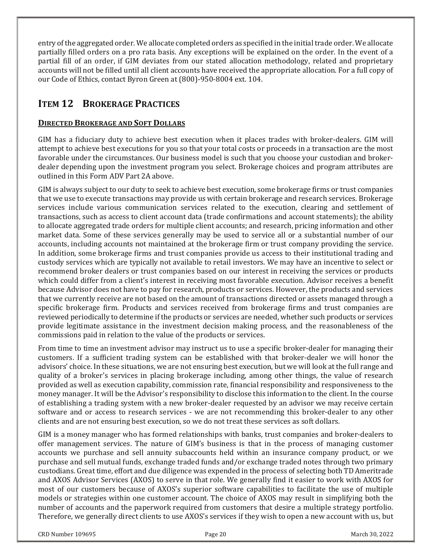entry of the aggregated order. We allocate completed orders as specified in the initial trade order. We allocate partially filled orders on a pro rata basis. Any exceptions will be explained on the order. In the event of a partial fill of an order, if GIM deviates from our stated allocation methodology, related and proprietary accounts will not be filled until all client accounts have received the appropriate allocation. For a full copy of our Code of Ethics, contact Byron Green at (800)-950-8004 ext. 104.

# ITEM 12 BROKERAGE PRACTICES

# DIRECTED BROKERAGE AND SOFT DOLLARS

GIM has a fiduciary duty to achieve best execution when it places trades with broker-dealers. GIM will attempt to achieve best executions for you so that your total costs or proceeds in a transaction are the most favorable under the circumstances. Our business model is such that you choose your custodian and brokerdealer depending upon the investment program you select. Brokerage choices and program attributes are outlined in this Form ADV Part 2A above.

GIM is always subject to our duty to seek to achieve best execution, some brokerage firms or trust companies ( that we use to execute transactions may provide us with certain brokerage and research services. Brokerage services include various communication services related to the execution, clearing and settlement of transactions, such as access to client account data (trade confirmations and account statements); the ability to allocate aggregated trade orders for multiple client accounts; and research, pricing information and other market data. Some of these services generally may be used to service all or a substantial number of our accounts, including accounts not maintained at the brokerage firm or trust company providing the service. In addition, some brokerage firms and trust companies provide us access to their institutional trading and custody services which are typically not available to retail investors. We may have an incentive to select or recommend broker dealers or trust companies based on our interest in receiving the services or products which could differ from a client's interest in receiving most favorable execution. Advisor receives a benefit because Advisor does not have to pay for research, products or services. However, the products and services that we currently receive are not based on the amount of transactions directed or assets managed through a specific brokerage firm. Products and services received from brokerage firms and trust companies are reviewed periodically to determine if the products or services are needed, whether such products or services provide legitimate assistance in the investment decision making process, and the reasonableness of the commissions paid in relation to the value of the products or services.

From time to time an investment advisor may instruct us to use a specific broker-dealer for managing their customers. If a sufficient trading system can be established with that broker-dealer we will honor the advisors' choice. In these situations, we are not ensuring best execution, but we will look at the full range and quality of a broker's services in placing brokerage including, among other things, the value of research provided as well as execution capability, commission rate, financial responsibility and responsiveness to the money manager. It will be the Advisor's responsibility to disclose this information to the client. In the course of establishing a trading system with a new broker-dealer requested by an advisor we may receive certain software and or access to research services - we are not recommending this broker-dealer to any other clients and are not ensuring best execution, so we do not treat these services as soft dollars.

GIM is a money manager who has formed relationships with banks, trust companies and broker-dealers to offer management services. The nature of GIM's business is that in the process of managing customer accounts we purchase and sell annuity subaccounts held within an insurance company product, or we purchase and sell mutual funds, exchange traded funds and/or exchange traded notes through two primary custodians. Great time, effort and due diligence was expended in the process of selecting both TD Ameritrade and AXOS Advisor Services (AXOS) to serve in that role. We generally find it easier to work with AXOS for most of our customers because of AXOS's superior software capabilities to facilitate the use of multiple models or strategies within one customer account. The choice of AXOS may result in simplifying both the number of accounts and the paperwork required from customers that desire a multiple strategy portfolio. Therefore, we generally direct clients to use AXOS's services if they wish to open a new account with us, but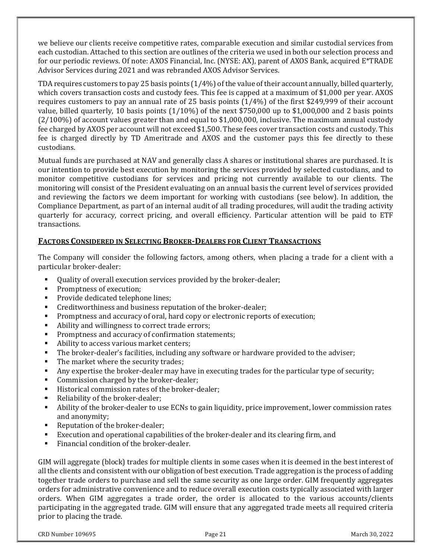we believe our clients receive competitive rates, comparable execution and similar custodial services from each custodian. Attached to this section are outlines of the criteria we used in both our selection process and for our periodic reviews. Of note: AXOS Financial, Inc. (NYSE: AX), parent of AXOS Bank, acquired E\*TRADE Advisor Services during 2021 and was rebranded AXOS Advisor Services.

TDA requires customers to pay 25 basis points  $(1/4%)$  of the value of their account annually, billed quarterly, which covers transaction costs and custody fees. This fee is capped at a maximum of \$1,000 per year. AXOS requires customers to pay an annual rate of 25 basis points  $(1/4%)$  of the first \$249,999 of their account value, billed quarterly, 10 basis points  $(1/10\%)$  of the next \$750,000 up to \$1,000,000 and 2 basis points  $(2/100%)$  of account values greater than and equal to \$1,000,000, inclusive. The maximum annual custody fee charged by AXOS per account will not exceed \$1,500. These fees cover transaction costs and custody. This fee is charged directly by TD Ameritrade and AXOS and the customer pays this fee directly to these custodians.

Mutual funds are purchased at NAV and generally class A shares or institutional shares are purchased. It is our intention to provide best execution by monitoring the services provided by selected custodians, and to monitor competitive custodians for services and pricing not currently available to our clients. The monitoring will consist of the President evaluating on an annual basis the current level of services provided and reviewing the factors we deem important for working with custodians (see below). In addition, the Compliance Department, as part of an internal audit of all trading procedures, will audit the trading activity quarterly for accuracy, correct pricing, and overall efficiency. Particular attention will be paid to ETF transactions.

# FACTORS CONSIDERED IN SELECTING BROKER-DEALERS FOR CLIENT TRANSACTIONS

The Company will consider the following factors, among others, when placing a trade for a client with a particular broker-dealer:

- -Quality of overall execution services provided by the broker-dealer;
- -Promptness of execution:
- -Provide dedicated telephone lines:
- -Creditworthiness and business reputation of the broker-dealer;
- -Promptness and accuracy of oral, hard copy or electronic reports of execution;
- -Ability and willingness to correct trade errors;
- -Promptness and accuracy of confirmation statements;
- -Ability to access various market centers;
- -The broker-dealer's facilities, including any software or hardware provided to the adviser;
- -The market where the security trades;
- -Any expertise the broker-dealer may have in executing trades for the particular type of security;
- -Commission charged by the broker-dealer;
- -Historical commission rates of the broker-dealer;
- $\bullet$ Reliability of the broker-dealer;
- -Ability of the broker-dealer to use ECNs to gain liquidity, price improvement, lower commission rates and anonymity;
- -Reputation of the broker-dealer;
- -Execution and operational capabilities of the broker-dealer and its clearing firm, and
- -Financial condition of the broker-dealer.

GIM will aggregate (block) trades for multiple clients in some cases when it is deemed in the best interest of all the clients and consistent with our obligation of best execution. Trade aggregation is the process of adding together trade orders to purchase and sell the same security as one large order. GIM frequently aggregates orders for administrative convenience and to reduce overall execution costs typically associated with larger orders. When GIM aggregates a trade order, the order is allocated to the various accounts/clients participating in the aggregated trade. GIM will ensure that any aggregated trade meets all required criteria ( prior to placing the trade.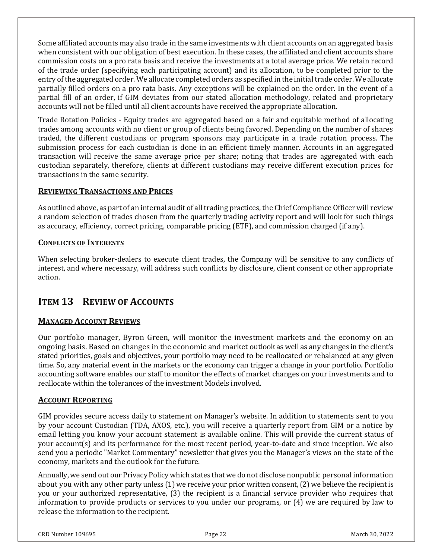Some affiliated accounts may also trade in the same investments with client accounts on an aggregated basis when consistent with our obligation of best execution. In these cases, the affiliated and client accounts share commission costs on a pro rata basis and receive the investments at a total average price. We retain record of the trade order (specifying each participating account) and its allocation, to be completed prior to the entry of the aggregated order. We allocate completed orders as specified in the initial trade order. We allocate partially filled orders on a pro rata basis. Any exceptions will be explained on the order. In the event of a partial fill of an order, if GIM deviates from our stated allocation methodology, related and proprietary accounts will not be filled until all client accounts have received the appropriate allocation.

Trade Rotation Policies - Equity trades are aggregated based on a fair and equitable method of allocating trades among accounts with no client or group of clients being favored. Depending on the number of shares traded, the different custodians or program sponsors may participate in a trade rotation process. The submission process for each custodian is done in an efficient timely manner. Accounts in an aggregated transaction will receive the same average price per share; noting that trades are aggregated with each custodian separately, therefore, clients at different custodians may receive different execution prices for transactions in the same security.

# REVIEWING TRANSACTIONS AND PRICES

As outlined above, as part of an internal audit of all trading practices, the Chief Compliance Officer will review a random selection of trades chosen from the quarterly trading activity report and will look for such things as accuracy, efficiency, correct pricing, comparable pricing (ETF), and commission charged (if any).

### CONFLICTS OF INTERESTS

When selecting broker-dealers to execute client trades, the Company will be sensitive to any conflicts of interest, and where necessary, will address such conflicts by disclosure, client consent or other appropriate action.

# ITEM 13 REVIEW OF ACCOUNTS

# MANAGED ACCOUNT REVIEWS

Our portfolio manager, Byron Green, will monitor the investment markets and the economy on an ongoing basis. Based on changes in the economic and market outlook as well as any changes in the client's stated priorities, goals and objectives, your portfolio may need to be reallocated or rebalanced at any given time. So, any material event in the markets or the economy can trigger a change in your portfolio. Portfolio accounting software enables our staff to monitor the effects of market changes on your investments and to reallocate within the tolerances of the investment Models involved.

#### ACCOUNT REPORTING

GIM provides secure access daily to statement on Manager's website. In addition to statements sent to you by your account Custodian (TDA, AXOS, etc.), you will receive a quarterly report from GIM or a notice by email letting you know your account statement is available online. This will provide the current status of your account(s) and its performance for the most recent period, year-to-date and since inception. We also send you a periodic "Market Commentary" newsletter that gives you the Manager's views on the state of the economy, markets and the outlook for the future.

Annually, we send out our Privacy Policy which states that we do not disclose nonpublic personal information about you with any other party unless (1) we receive your prior written consent, (2) we believe the recipient is you or your authorized representative, (3) the recipient is a financial service provider who requires that information to provide products or services to you under our programs, or (4) we are required by law to release the information to the recipient.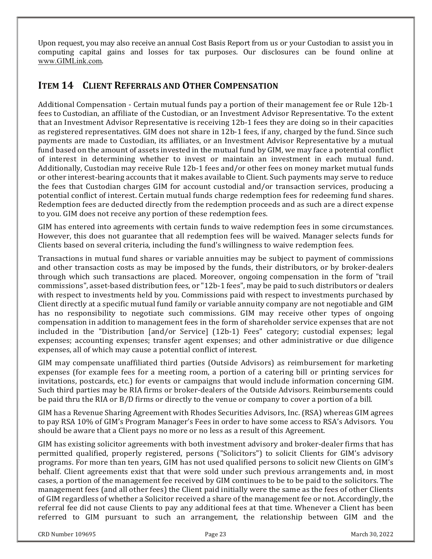Upon request, you may also receive an annual Cost Basis Report from us or your Custodian to assist you in computing capital gains and losses for tax purposes. Our disclosures can be found online at www.GIMLink.com.

# ITEM 14 CLIENT REFERRALS AND OTHER COMPENSATION

Additional Compensation - Certain mutual funds pay a portion of their management fee or Rule 12b-1 fees to Custodian, an affiliate of the Custodian, or an Investment Advisor Representative. To the extent that an Investment Advisor Representative is receiving 12b-1 fees they are doing so in their capacities as registered representatives. GIM does not share in 12b-1 fees, if any, charged by the fund. Since such payments are made to Custodian, its affiliates, or an Investment Advisor Representative by a mutual fund based on the amount of assets invested in the mutual fund by GIM, we may face a potential conflict of interest in determining whether to invest or maintain an investment in each mutual fund. Additionally, Custodian may receive Rule 12b-1 fees and/or other fees on money market mutual funds or other interest-bearing accounts that it makes available to Client. Such payments may serve to reduce the fees that Custodian charges GIM for account custodial and/or transaction services, producing a potential conflict of interest. Certain mutual funds charge redemption fees for redeeming fund shares. Redemption fees are deducted directly from the redemption proceeds and as such are a direct expense to you. GIM does not receive any portion of these redemption fees.

GIM has entered into agreements with certain funds to waive redemption fees in some circumstances. However, this does not guarantee that all redemption fees will be waived. Manager selects funds for Clients based on several criteria, including the fund's willingness to waive redemption fees.

Transactions in mutual fund shares or variable annuities may be subject to payment of commissions and other transaction costs as may be imposed by the funds, their distributors, or by broker-dealers through which such transactions are placed. Moreover, ongoing compensation in the form of "trail" commissions", asset-based distribution fees, or "12b-1 fees", may be paid to such distributors or dealers with respect to investments held by you. Commissions paid with respect to investments purchased by Client directly at a specific mutual fund family or variable annuity company are not negotiable and GIM has no responsibility to negotiate such commissions. GIM may receive other types of ongoing compensation in addition to management fees in the form of shareholder service expenses that are not included in the "Distribution [and/or Service] (12b-1) Fees" category; custodial expenses; legal expenses; accounting expenses; transfer agent expenses; and other administrative or due diligence expenses, all of which may cause a potential conflict of interest.

GIM may compensate unaffiliated third parties (Outside Advisors) as reimbursement for marketing expenses (for example fees for a meeting room, a portion of a catering bill or printing services for invitations, postcards, etc.) for events or campaigns that would include information concerning GIM. Such third parties may be RIA firms or broker-dealers of the Outside Advisors. Reimbursements could be paid thru the RIA or B/D firms or directly to the venue or company to cover a portion of a bill.

GIM has a Revenue Sharing Agreement with Rhodes Securities Advisors, Inc. (RSA) whereas GIM agrees to pay RSA 10% of GIM's Program Manager's Fees in order to have some access to RSA's Advisors. You should be aware that a Client pays no more or no less as a result of this Agreement.

GIM has existing solicitor agreements with both investment advisory and broker-dealer firms that has permitted qualified, properly registered, persons ("Solicitors") to solicit Clients for GIM's advisory programs. For more than ten years, GIM has not used qualified persons to solicit new Clients on GIM's  $\,$ behalf. Client agreements exist that that were sold under such previous arrangements and, in most cases, a portion of the management fee received by GIM continues to be to be paid to the solicitors. The management fees (and all other fees) the Client paid initially were the same as the fees of other Clients of GIM regardless of whether a Solicitor received a share of the management fee or not. Accordingly, the referral fee did not cause Clients to pay any additional fees at that time. Whenever a Client has been referred to GIM pursuant to such an arrangement, the relationship between GIM and the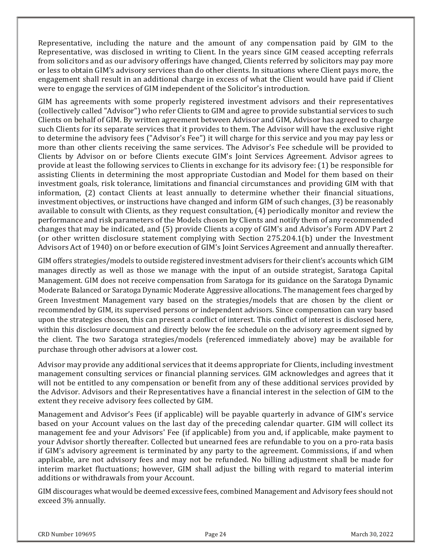Representative, including the nature and the amount of any compensation paid by GIM to the Representative, was disclosed in writing to Client. In the years since GIM ceased accepting referrals from solicitors and as our advisory offerings have changed, Clients referred by solicitors may pay more or less to obtain GIM's advisory services than do other clients. In situations where Client pays more, the engagement shall result in an additional charge in excess of what the Client would have paid if Client were to engage the services of GIM independent of the Solicitor's introduction.

GIM has agreements with some properly registered investment advisors and their representatives (collectively called "Advisor") who refer Clients to GIM and agree to provide substantial services to such Clients on behalf of GIM. By written agreement between Advisor and GIM, Advisor has agreed to charge such Clients for its separate services that it provides to them. The Advisor will have the exclusive right to determine the advisory fees ("Advisor's Fee") it will charge for this service and you may pay less or more than other clients receiving the same services. The Advisor's Fee schedule will be provided to Clients by Advisor on or before Clients execute GIM's Joint Services Agreement. Advisor agrees to provide at least the following services to Clients in exchange for its advisory fee: (1) be responsible for assisting Clients in determining the most appropriate Custodian and Model for them based on their investment goals, risk tolerance, limitations and financial circumstances and providing GIM with that information,  $(2)$  contact Clients at least annually to determine whether their financial situations, investment objectives, or instructions have changed and inform GIM of such changes, (3) be reasonably available to consult with Clients, as they request consultation, (4) periodically monitor and review the performance and risk parameters of the Models chosen by Clients and notify them of any recommended changes that may be indicated, and (5) provide Clients a copy of GIM's and Advisor's Form ADV Part 2 (or other written disclosure statement complying with Section 275.204.1(b) under the Investment Advisors Act of 1940) on or before execution of GIM's Joint Services Agreement and annually thereafter.

GIM offers strategies/models to outside registered investment advisers for their client's accounts which GIM  $\,$ manages directly as well as those we manage with the input of an outside strategist, Saratoga Capital Management. GIM does not receive compensation from Saratoga for its guidance on the Saratoga Dynamic Moderate Balanced or Saratoga Dynamic Moderate Aggressive allocations. The management fees charged by Green Investment Management vary based on the strategies/models that are chosen by the client or recommended by GIM, its supervised persons or independent advisors. Since compensation can vary based upon the strategies chosen, this can present a conflict of interest. This conflict of interest is disclosed here, within this disclosure document and directly below the fee schedule on the advisory agreement signed by the client. The two Saratoga strategies/models (referenced immediately above) may be available for purchase through other advisors at a lower cost.

Advisor may provide any additional services that it deems appropriate for Clients, including investment management consulting services or financial planning services. GIM acknowledges and agrees that it will not be entitled to any compensation or benefit from any of these additional services provided by the Advisor. Advisors and their Representatives have a financial interest in the selection of GIM to the extent they receive advisory fees collected by GIM.

Management and Advisor's Fees (if applicable) will be payable quarterly in advance of GIM's service based on your Account values on the last day of the preceding calendar quarter. GIM will collect its management fee and your Advisors' Fee (if applicable) from you and, if applicable, make payment to your Advisor shortly thereafter. Collected but unearned fees are refundable to you on a pro-rata basis if GIM's advisory agreement is terminated by any party to the agreement. Commissions, if and when applicable, are not advisory fees and may not be refunded. No billing adjustment shall be made for interim market fluctuations; however, GIM shall adjust the billing with regard to material interim additions or withdrawals from your Account.

GIM discourages what would be deemed excessive fees, combined Management and Advisory fees should not exceed 3% annually.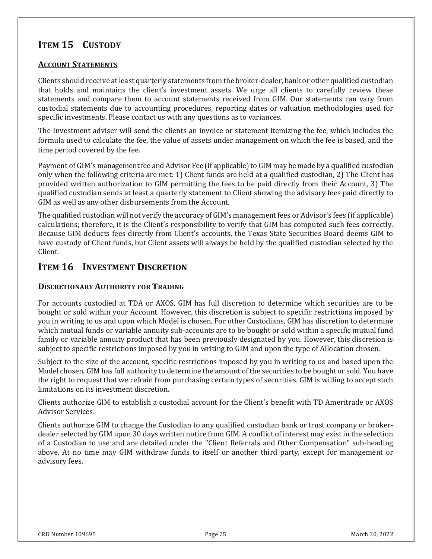# ITEM 15 CUSTODY

### ACCOUNT STATEMENTS

Clients should receive at least quarterly statements from the broker-dealer, bank or other qualified custodian that holds and maintains the client's investment assets. We urge all clients to carefully review these statements and compare them to account statements received from GIM. Our statements can vary from custodial statements due to accounting procedures, reporting dates or valuation methodologies used for specific investments. Please contact us with any questions as to variances.

The Investment adviser will send the clients an invoice or statement itemizing the fee, which includes the formula used to calculate the fee, the value of assets under management on which the fee is based, and the time period covered by the fee.

Payment of GIM's management fee and Advisor Fee (if applicable) to GIM may be made by a qualified custodian ( only when the following criteria are met: 1) Client funds are held at a qualified custodian, 2) The Client has provided written authorization to GIM permitting the fees to be paid directly from their Account, 3) The qualified custodian sends at least a quarterly statement to Client showing the advisory fees paid directly to GIM as well as any other disbursements from the Account.

The qualified custodian will not verify the accuracy of GIM's management fees or Advisor's fees (if applicable) calculations; therefore, it is the Client's responsibility to verify that GIM has computed such fees correctly. Because GIM deducts fees directly from Client's accounts, the Texas State Securities Board deems GIM to have custody of Client funds, but Client assets will always be held by the qualified custodian selected by the Client.

# ITEM 16 INVESTMENT DISCRETION

# DISCRETIONARY AUTHORITY FOR TRADING

For accounts custodied at TDA or AXOS, GIM has full discretion to determine which securities are to be bought or sold within your Account. However, this discretion is subject to specific restrictions imposed by you in writing to us and upon which Model is chosen. For other Custodians, GIM has discretion to determine (Sa which mutual funds or variable annuity sub-accounts are to be bought or sold within a specific mutual fund family or variable annuity product that has been previously designated by you. However, this discretion is subject to specific restrictions imposed by you in writing to GIM and upon the type of Allocation chosen.

Subject to the size of the account, specific restrictions imposed by you in writing to us and based upon the Model chosen, GIM has full authority to determine the amount of the securities to be bought or sold. You have the right to request that we refrain from purchasing certain types of securities. GIM is willing to accept such limitations on its investment discretion.

Clients authorize GIM to establish a custodial account for the Client's benefit with TD Ameritrade or AXOS **Advisor Services.** 

Clients authorize GIM to change the Custodian to any qualified custodian bank or trust company or brokerdealer selected by GIM upon 30 days written notice from GIM. A conflict of interest may exist in the selection of a Custodian to use and are detailed under the "Client Referrals and Other Compensation" sub-heading above. At no time may GIM withdraw funds to itself or another third party, except for management or advisory fees.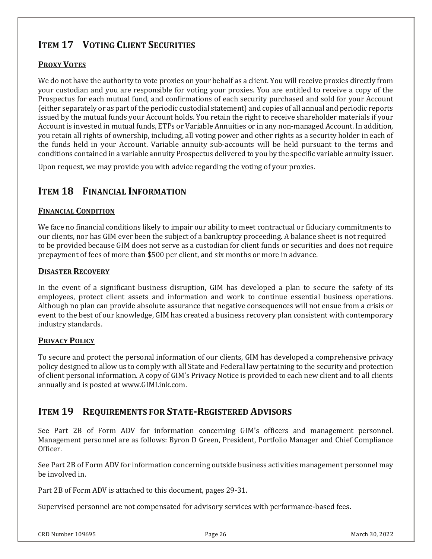# ITEM 17 VOTING CLIENT SECURITIES

# PROXY VOTES

We do not have the authority to vote proxies on your behalf as a client. You will receive proxies directly from your custodian and you are responsible for voting your proxies. You are entitled to receive a copy of the Prospectus for each mutual fund, and confirmations of each security purchased and sold for your Account (either separately or as part of the periodic custodial statement) and copies of all annual and periodic reports issued by the mutual funds your Account holds. You retain the right to receive shareholder materials if your Account is invested in mutual funds, ETPs or Variable Annuities or in any non-managed Account. In addition, you retain all rights of ownership, including, all voting power and other rights as a security holder in each of the funds held in your Account. Variable annuity sub-accounts will be held pursuant to the terms and conditions contained in a variable annuity Prospectus delivered to you by the specific variable annuity issuer.

Upon request, we may provide you with advice regarding the voting of your proxies.

# ITEM 18 FINANCIAL INFORMATION

### FINANCIAL CONDITION

We face no financial conditions likely to impair our ability to meet contractual or fiduciary commitments to our clients, nor has GIM ever been the subject of a bankruptcy proceeding. A balance sheet is not required (  $\,$ to be provided because GIM does not serve as a custodian for client funds or securities and does not require ( prepayment of fees of more than \$500 per client, and six months or more in advance.

### DISASTER RECOVERY

In the event of a significant business disruption, GIM has developed a plan to secure the safety of its employees, protect client assets and information and work to continue essential business operations. Although no plan can provide absolute assurance that negative consequences will not ensue from a crisis or event to the best of our knowledge, GIM has created a business recovery plan consistent with contemporary industry standards.

# PRIVACY POLICY

To secure and protect the personal information of our clients, GIM has developed a comprehensive privacy policy designed to allow us to comply with all State and Federal law pertaining to the security and protection of client personal information. A copy of GIM's Privacy Notice is provided to each new client and to all clients annually and is posted at www.GIMLink.com.

# ITEM 19 REQUIREMENTS FOR STATE-REGISTERED ADVISORS

See Part 2B of Form ADV for information concerning GIM's officers and management personnel.  $\,$ Management personnel are as follows: Byron D Green, President, Portfolio Manager and Chief Compliance Officer.

See Part 2B of Form ADV for information concerning outside business activities management personnel may be involved in.

Part 2B of Form ADV is attached to this document, pages 29-31.

Supervised personnel are not compensated for advisory services with performance-based fees.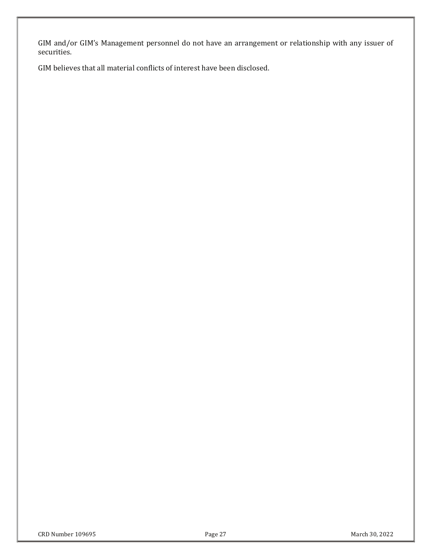GIM and/or GIM's Management personnel do not have an arrangement or relationship with any issuer of securities.

GIM believes that all material conflicts of interest have been disclosed.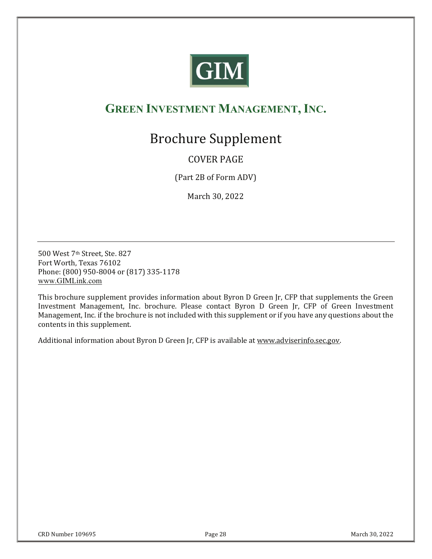

# GREEN INVESTMENT MANAGEMENT, INC.

# **Brochure Supplement**

# COVER PAGE

(Part 2B of Form ADV)

March 30, 2022

500 West 7<sup>th</sup> Street, Ste, 827 Fort Worth, Texas 76102 Phone: (800) 950-8004 or (817) 335-1178 www.GIMLink.com

This brochure supplement provides information about Byron D Green Jr, CFP that supplements the Green lnvestment Management, Inc. brochure. Please contact Byron D Green Jr, CFP of Green Investment Management, Inc. if the brochure is not included with this supplement or if you have any questions about the contents in this supplement.

Additional information about Byron D Green Jr, CFP is available at <u>www.adviserinfo.sec.gov</u>.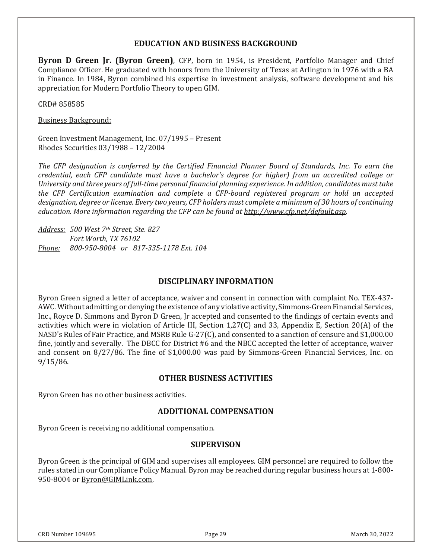## EDUCATION AND BUSINESS BACKGROUND

Byron D Green Jr. (Byron Green), CFP, born in 1954, is President, Portfolio Manager and Chief Compliance Officer. He graduated with honors from the University of Texas at Arlington in 1976 with a BA in Finance. In 1984, Byron combined his expertise in investment analysis, software development and his appreciation for Modern Portfolio Theory to open GIM.

CRD#858585

**Business Background:** 

Green Investment Management, Inc. 07/1995 – Present Rhodes Securities 03/1988 - 12/2004

The CFP designation is conferred by the Certified Financial Planner Board of Standards, Inc. To earn the credential, each CFP candidate must have a bachelor's degree (or higher) from an accredited college or University and three years of full-time personal financial planning experience. In addition, candidates must take the CFP Certification examination and complete a CFP-board registered program or hold an accepted designation, degree or license. Every two years, CFP holders must complete a minimum of 30 hours of continuing education. More information regarding the CFP can be found at http://www.cfp.net/default.asp.

Address: 500 West 7th Street, Ste. 827 Fort Worth, TX 76102 Phone: 800-950-8004 or 817-335-1178 Ext. 104

#### DISCIPLINARY INFORMATION

Byron Green signed a letter of acceptance, waiver and consent in connection with complaint No. TEX-437-AWC. Without admitting or denying the existence of any violative activity, Simmons-Green Financial Services, ' Inc., Royce D. Simmons and Byron D Green, Jr accepted and consented to the findings of certain events and (Inc. activities which were in violation of Article III, Section  $1,27(C)$  and 33, Appendix E, Section 20(A) of the NASD's Rules of Fair Practice, and MSRB Rule G-27(C), and consented to a sanction of censure and  $\$1,\!000.00$ fine, jointly and severally. The DBCC for District #6 and the NBCC accepted the letter of acceptance, waiver and consent on 8/27/86. The fine of  $$1,000.00$  was paid by Simmons-Green Financial Services, Inc. on  $9/15/86$ .

#### OTHER BUSINESS ACTIVITIES

Byron Green has no other business activities.

#### ADDITIONAL COMPENSATION

Byron Green is receiving no additional compensation.

#### **SUPERVISON**

Byron Green is the principal of GIM and supervises all employees. GIM personnel are required to follow the rules stated in our Compliance Policy Manual. Byron may be reached during regular business hours at 1-800-950-8004 or <u>Byron@GIMLink.com</u>.